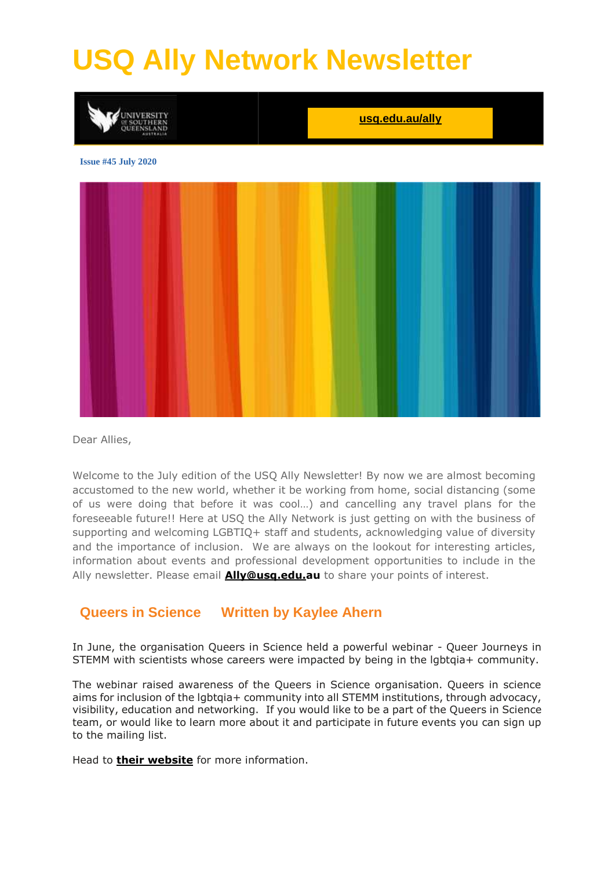# **USQ Ally Network Newsletter**



Dear Allies,

Welcome to the July edition of the USQ Ally Newsletter! By now we are almost becoming accustomed to the new world, whether it be working from home, social distancing (some of us were doing that before it was cool…) and cancelling any travel plans for the foreseeable future!! Here at USQ the Ally Network is just getting on with the business of supporting and welcoming LGBTIQ+ staff and students, acknowledging value of diversity and the importance of inclusion. We are always on the lookout for interesting articles, information about events and professional development opportunities to include in the Ally newsletter. Please email **[Ally@usq.edu.au](mailto:Ally@usq.edu.au)** to share your points of interest.

#### **Queers in Science Written by Kaylee Ahern**

In June, the organisation Queers in Science held a powerful webinar - Queer Journeys in STEMM with scientists whose careers were impacted by being in the lgbtqia+ community.

The webinar raised awareness of the Queers in Science organisation. Queers in science aims for inclusion of the lgbtgia+ community into all STEMM institutions, through advocacy, visibility, education and networking. If you would like to be a part of the Queers in Science team, or would like to learn more about it and participate in future events you can sign up to the mailing list.

Head to **their [website](https://secure-web.cisco.com/1HYX5u2I923O1T9erTH3_5tQ1VOdalEy9X-jNqmRmQUvDNC3_vU1416KFZfOnwSYLO3jtbr9Y_95RAzuOEev-zFo9Op6q1mfdO4fBa9kmFZ1GA0GpXBWI16-rXD8B8nfEMMy05CDNmDxnwSIIZYJfzh-UoUsMhBLB699Vp4JGRPwiosQ7ABgoRTj_J72eUEAp5MfRFz3p5320ptDIzlBEEFXemX7jraky_yoJPJcjS8iI9HmEUs4PNIBazkU-EKrLP_zdg2SEXd-X-W-KAiWyOR3y-oURx4sHmUM7faUHCOzlHbzX62hHth3mXgHSyUun1S-5up2MEd4kUKUzkPnZIo64tPYdjpi7zfZuUlUDy8eNaPxxcl5Te83-JQsHtlZ9JFbd-qdnVv4Hfy2U8Fjm3_E0CB0AqDZU5nw2c3KchwU/https%3A%2F%2Fwww.queersinscience.org.au%2F)** for more information.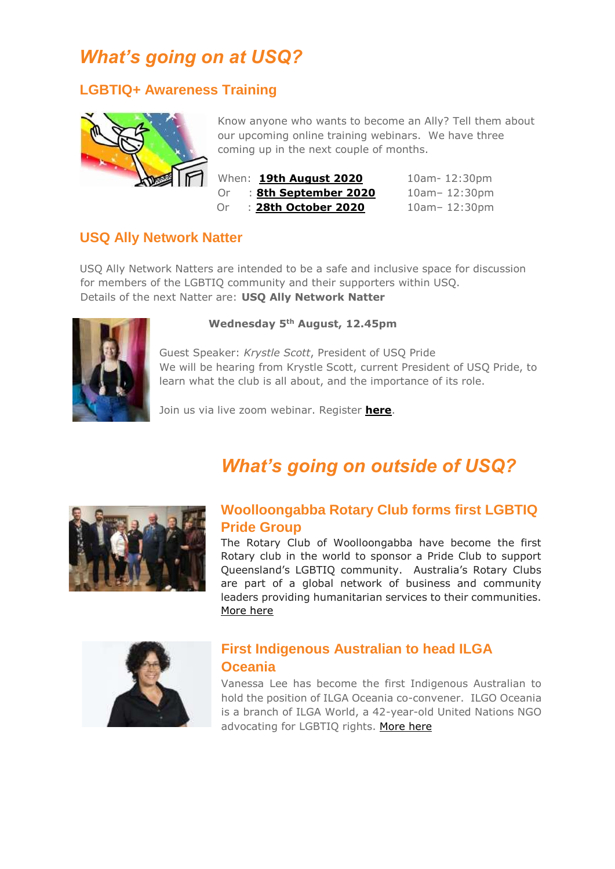## *What's going on at USQ?*

#### **LGBTIQ+ Awareness Training**



Know anyone who wants to become an Ally? Tell them about our upcoming online training webinars. We have three coming up in the next couple of months.

| n | When: <b>19th August 2020</b> | 10am-12:30pm     |
|---|-------------------------------|------------------|
|   | : 8th September 2020<br>Or.   | $10am - 12:30pm$ |
|   | : 28th October 2020<br>Or.    | $10am - 12:30pm$ |

#### **USQ Ally Network Natter**

USQ Ally Network Natters are intended to be a safe and inclusive space for discussion for members of the LGBTIQ community and their supporters within USQ. Details of the next Natter are: **USQ Ally Network Natter**



#### **Wednesday 5th August, 12.45pm**

Guest Speaker: *Krystle Scott*, President of USQ Pride We will be hearing from Krystle Scott, current President of USQ Pride, to learn what the club is all about, and the importance of its role.

Join us via live zoom webinar. Register **[here](https://usq.zoom.us/webinar/register/WN_CUOHXOZ_Tjuw0780_4aXOA)**.

### *What's going on outside of USQ?*



#### **Woolloongabba Rotary Club forms first LGBTIQ Pride Group**

The Rotary Club of Woolloongabba have become the first Rotary club in the world to sponsor a Pride Club to support Queensland's LGBTIQ community. Australia's Rotary Clubs are part of a global network of business and community leaders providing humanitarian services to their communities. [More here](https://qnews.com.au/woolloongabba-rotary-club-forms-first-lgbtiq-pride-group/)



#### **First Indigenous Australian to head ILGA Oceania**

Vanessa Lee has become the first Indigenous Australian to hold the position of ILGA Oceania co-convener. ILGO Oceania is a branch of ILGA World, a 42-year-old United Nations NGO advocating for LGBTIQ rights. [More here](https://qnews.com.au/first-indigenous-australian-heads-up-ilga-oceania/)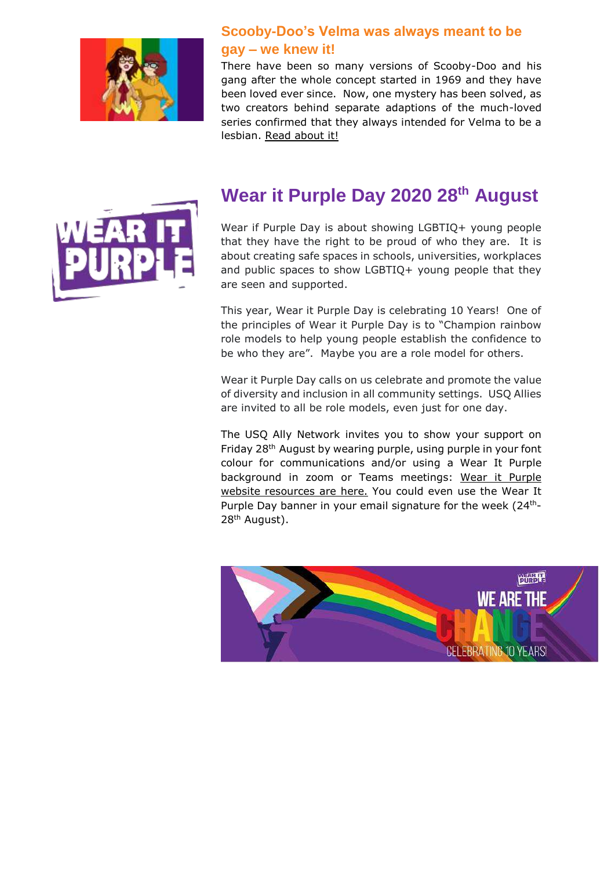

#### **Scooby-Doo's Velma was always meant to be gay – we knew it!**

There have been so many versions of Scooby-Doo and his gang after the whole concept started in 1969 and they have been loved ever since. Now, one mystery has been solved, as two creators behind separate adaptions of the much-loved series confirmed that they always intended for Velma to be a lesbian. [Read about it!](https://www.starobserver.com.au/artsentertainment/screen/scooby-doos-velma-was-always-meant-to-be-gay/196825)



## **Wear it Purple Day 2020 28th August**

Wear if Purple Day is about showing LGBTIQ+ young people that they have the right to be proud of who they are. It is about creating safe spaces in schools, universities, workplaces and public spaces to show LGBTIQ+ young people that they are seen and supported.

This year, Wear it Purple Day is celebrating 10 Years! One of the principles of Wear it Purple Day is to "Champion rainbow role models to help young people establish the confidence to be who they are". Maybe you are a role model for others.

Wear it Purple Day calls on us celebrate and promote the value of diversity and inclusion in all community settings. USQ Allies are invited to all be role models, even just for one day.

The USQ Ally Network invites you to show your support on Friday 28th August by wearing purple, using purple in your font colour for communications and/or using a Wear It Purple background in zoom or Teams meetings: Wear it [Purple](https://www.wearitpurple.org/wip-day-resources) website [resources](https://www.wearitpurple.org/wip-day-resources) are here. You could even use the Wear It Purple Day banner in your email signature for the week  $(24<sup>th</sup>-1)$ 28th August).